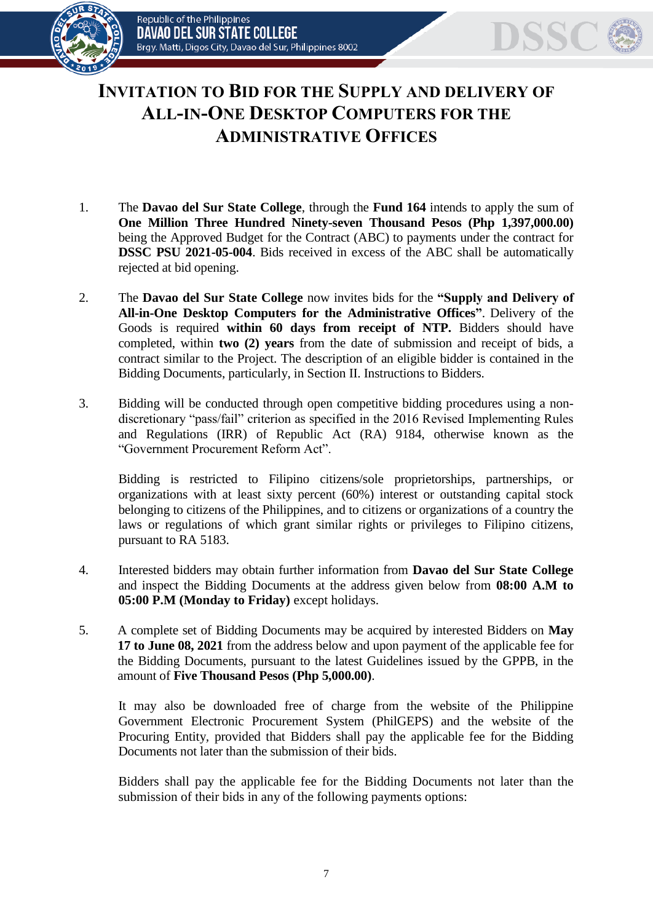

## **INVITATION TO BID FOR THE SUPPLY AND DELIVERY OF ALL-IN-ONE DESKTOP COMPUTERS FOR THE ADMINISTRATIVE OFFICES**

- 1. The **Davao del Sur State College**, through the **Fund 164** intends to apply the sum of **One Million Three Hundred Ninety-seven Thousand Pesos (Php 1,397,000.00)** being the Approved Budget for the Contract (ABC) to payments under the contract for **DSSC PSU 2021-05-004**. Bids received in excess of the ABC shall be automatically rejected at bid opening.
- 2. The **Davao del Sur State College** now invites bids for the **"Supply and Delivery of All-in-One Desktop Computers for the Administrative Offices"**. Delivery of the Goods is required **within 60 days from receipt of NTP.** Bidders should have completed, within **two (2) years** from the date of submission and receipt of bids, a contract similar to the Project. The description of an eligible bidder is contained in the Bidding Documents, particularly, in Section II. Instructions to Bidders.
- 3. Bidding will be conducted through open competitive bidding procedures using a nondiscretionary "pass/fail" criterion as specified in the 2016 Revised Implementing Rules and Regulations (IRR) of Republic Act (RA) 9184, otherwise known as the "Government Procurement Reform Act".

Bidding is restricted to Filipino citizens/sole proprietorships, partnerships, or organizations with at least sixty percent (60%) interest or outstanding capital stock belonging to citizens of the Philippines, and to citizens or organizations of a country the laws or regulations of which grant similar rights or privileges to Filipino citizens, pursuant to RA 5183.

- 4. Interested bidders may obtain further information from **Davao del Sur State College** and inspect the Bidding Documents at the address given below from **08:00 A.M to 05:00 P.M (Monday to Friday)** except holidays.
- 5. A complete set of Bidding Documents may be acquired by interested Bidders on **May 17 to June 08, 2021** from the address below and upon payment of the applicable fee for the Bidding Documents, pursuant to the latest Guidelines issued by the GPPB, in the amount of **Five Thousand Pesos (Php 5,000.00)**.

It may also be downloaded free of charge from the website of the Philippine Government Electronic Procurement System (PhilGEPS) and the website of the Procuring Entity*,* provided that Bidders shall pay the applicable fee for the Bidding Documents not later than the submission of their bids.

Bidders shall pay the applicable fee for the Bidding Documents not later than the submission of their bids in any of the following payments options: